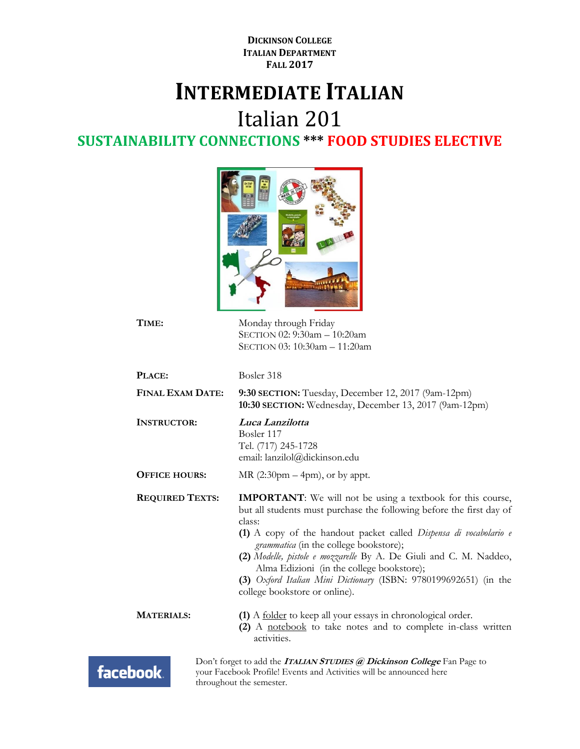**DICKINSON COLLEGE ITALIAN DEPARTMENT FALL 2017**

## **INTERMEDIATE ITALIAN**

Italian 201

**SUSTAINABILITY CONNECTIONS \*\*\* FOOD STUDIES ELECTIVE**



| TIME:                                                                                                                                    | Monday through Friday<br>SECTION 02: 9:30am - 10:20am<br>SECTION 03: 10:30am - 11:20am                                                                                                                                                                                                                                                                                                                                                                                                                     |
|------------------------------------------------------------------------------------------------------------------------------------------|------------------------------------------------------------------------------------------------------------------------------------------------------------------------------------------------------------------------------------------------------------------------------------------------------------------------------------------------------------------------------------------------------------------------------------------------------------------------------------------------------------|
| PLACE:                                                                                                                                   | Bosler 318                                                                                                                                                                                                                                                                                                                                                                                                                                                                                                 |
| <b>FINAL EXAM DATE:</b><br>9:30 SECTION: Tuesday, December 12, 2017 (9am-12pm)<br>10:30 SECTION: Wednesday, December 13, 2017 (9am-12pm) |                                                                                                                                                                                                                                                                                                                                                                                                                                                                                                            |
| <b>INSTRUCTOR:</b>                                                                                                                       | Luca Lanzilotta<br>Bosler 117<br>Tel. (717) 245-1728<br>email: lanzilol@dickinson.edu                                                                                                                                                                                                                                                                                                                                                                                                                      |
| <b>OFFICE HOURS:</b>                                                                                                                     | MR $(2:30 \text{pm} - 4 \text{pm})$ , or by appt.                                                                                                                                                                                                                                                                                                                                                                                                                                                          |
| <b>REQUIRED TEXTS:</b>                                                                                                                   | <b>IMPORTANT</b> : We will not be using a textbook for this course,<br>but all students must purchase the following before the first day of<br>class:<br>(1) A copy of the handout packet called <i>Dispensa di vocabolario e</i><br><i>grammatica</i> (in the college bookstore);<br>(2) Modelle, pistole e mozzarelle By A. De Giuli and C. M. Naddeo,<br>Alma Edizioni (in the college bookstore);<br>(3) Oxford Italian Mini Dictionary (ISBN: 9780199692651) (in the<br>college bookstore or online). |
| <b>MATERIALS:</b>                                                                                                                        | (1) A <u>folder</u> to keep all your essays in chronological order.<br>(2) A notebook to take notes and to complete in-class written<br>activities.                                                                                                                                                                                                                                                                                                                                                        |
| look                                                                                                                                     | Don't forget to add the <b>ITALIAN STUDIES</b> @ Dickinson College Fan Page to<br>your Facebook Profile! Events and Activities will be announced here                                                                                                                                                                                                                                                                                                                                                      |

facebook.

throughout the semester.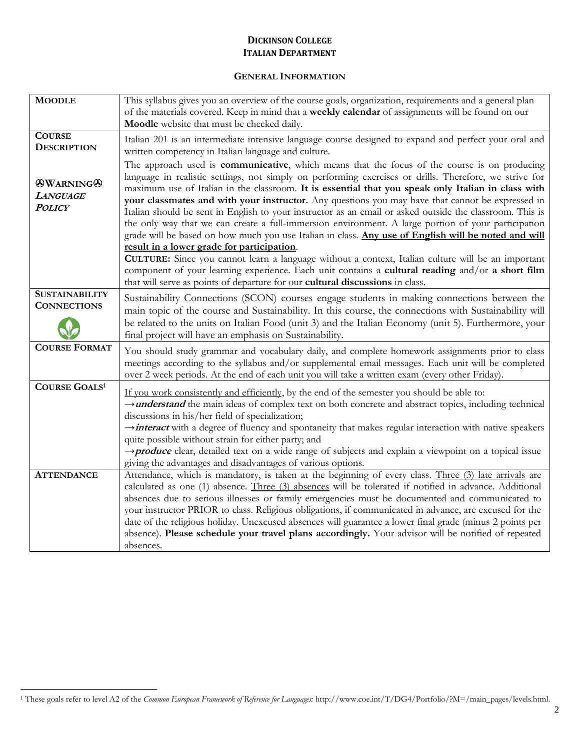#### **DICKINSON COLLEGE ITALIAN DEPARTMENT**

#### **GENERAL INFORMATION**

| <b>MOODLE</b>                                                              | This syllabus gives you an overview of the course goals, organization, requirements and a general plan<br>of the materials covered. Keep in mind that a weekly calendar of assignments will be found on our<br>Moodle website that must be checked daily.                                                                                                                                                                                                                                                                                                                                                                                                  |
|----------------------------------------------------------------------------|------------------------------------------------------------------------------------------------------------------------------------------------------------------------------------------------------------------------------------------------------------------------------------------------------------------------------------------------------------------------------------------------------------------------------------------------------------------------------------------------------------------------------------------------------------------------------------------------------------------------------------------------------------|
| <b>COURSE</b><br><b>DESCRIPTION</b><br><b>OWARNINGO</b><br><b>LANGUAGE</b> | Italian 201 is an intermediate intensive language course designed to expand and perfect your oral and<br>written competency in Italian language and culture.<br>The approach used is <b>communicative</b> , which means that the focus of the course is on producing<br>language in realistic settings, not simply on performing exercises or drills. Therefore, we strive for<br>maximum use of Italian in the classroom. It is essential that you speak only Italian in class with                                                                                                                                                                       |
| <b>POLICY</b>                                                              | your classmates and with your instructor. Any questions you may have that cannot be expressed in<br>Italian should be sent in English to your instructor as an email or asked outside the classroom. This is<br>the only way that we can create a full-immersion environment. A large portion of your participation<br>grade will be based on how much you use Italian in class. Any use of English will be noted and will<br>result in a lower grade for participation.                                                                                                                                                                                   |
|                                                                            | CULTURE: Since you cannot learn a language without a context, Italian culture will be an important<br>component of your learning experience. Each unit contains a cultural reading and/or a short film<br>that will serve as points of departure for our cultural discussions in class.                                                                                                                                                                                                                                                                                                                                                                    |
| <b>SUSTAINABILITY</b><br><b>CONNECTIONS</b>                                | Sustainability Connections (SCON) courses engage students in making connections between the<br>main topic of the course and Sustainability. In this course, the connections with Sustainability will<br>be related to the units on Italian Food (unit 3) and the Italian Economy (unit 5). Furthermore, your<br>final project will have an emphasis on Sustainability.                                                                                                                                                                                                                                                                                     |
| <b>COURSE FORMAT</b>                                                       | You should study grammar and vocabulary daily, and complete homework assignments prior to class<br>meetings according to the syllabus and/or supplemental email messages. Each unit will be completed<br>over 2 week periods. At the end of each unit you will take a written exam (every other Friday).                                                                                                                                                                                                                                                                                                                                                   |
| <b>COURSE GOALS1</b>                                                       | If you work consistently and efficiently, by the end of the semester you should be able to:<br>→ <i>understand</i> the main ideas of complex text on both concrete and abstract topics, including technical<br>discussions in his/her field of specialization;<br>interact with a degree of fluency and spontaneity that makes regular interaction with native speakers<br>quite possible without strain for either party; and<br>$\rightarrow$ <b>produce</b> clear, detailed text on a wide range of subjects and explain a viewpoint on a topical issue<br>giving the advantages and disadvantages of various options.                                  |
| <b>ATTENDANCE</b>                                                          | Attendance, which is mandatory, is taken at the beginning of every class. Three (3) late arrivals are<br>calculated as one (1) absence. Three (3) absences will be tolerated if notified in advance. Additional<br>absences due to serious illnesses or family emergencies must be documented and communicated to<br>your instructor PRIOR to class. Religious obligations, if communicated in advance, are excused for the<br>date of the religious holiday. Unexcused absences will guarantee a lower final grade (minus 2 points per<br>absence). Please schedule your travel plans accordingly. Your advisor will be notified of repeated<br>absences. |

 $\overline{a}$ 

<sup>1</sup> These goals refer to level A2 of the *Common European Framework of Reference for Languages:* http://www.coe.int/T/DG4/Portfolio/?M=/main\_pages/levels.html.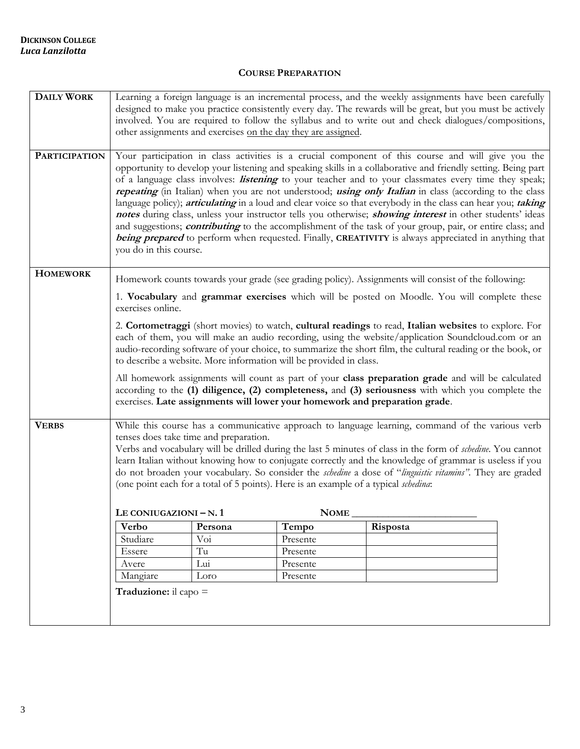#### **COURSE PREPARATION**

| <b>DAILY WORK</b>    | Learning a foreign language is an incremental process, and the weekly assignments have been carefully                                                                                                                                                                                                                                                                                                                                                                                                                                                                                                                                                                                                                                                                                                                                                                                                                                    |           |                                                                             |                                                                                                                                                                                                         |  |
|----------------------|------------------------------------------------------------------------------------------------------------------------------------------------------------------------------------------------------------------------------------------------------------------------------------------------------------------------------------------------------------------------------------------------------------------------------------------------------------------------------------------------------------------------------------------------------------------------------------------------------------------------------------------------------------------------------------------------------------------------------------------------------------------------------------------------------------------------------------------------------------------------------------------------------------------------------------------|-----------|-----------------------------------------------------------------------------|---------------------------------------------------------------------------------------------------------------------------------------------------------------------------------------------------------|--|
|                      | designed to make you practice consistently every day. The rewards will be great, but you must be actively<br>involved. You are required to follow the syllabus and to write out and check dialogues/compositions,                                                                                                                                                                                                                                                                                                                                                                                                                                                                                                                                                                                                                                                                                                                        |           |                                                                             |                                                                                                                                                                                                         |  |
|                      |                                                                                                                                                                                                                                                                                                                                                                                                                                                                                                                                                                                                                                                                                                                                                                                                                                                                                                                                          |           | other assignments and exercises on the day they are assigned.               |                                                                                                                                                                                                         |  |
|                      |                                                                                                                                                                                                                                                                                                                                                                                                                                                                                                                                                                                                                                                                                                                                                                                                                                                                                                                                          |           |                                                                             |                                                                                                                                                                                                         |  |
| <b>PARTICIPATION</b> | Your participation in class activities is a crucial component of this course and will give you the<br>opportunity to develop your listening and speaking skills in a collaborative and friendly setting. Being part<br>of a language class involves: <i>listening</i> to your teacher and to your classmates every time they speak;<br>repeating (in Italian) when you are not understood; using only Italian in class (according to the class<br>language policy); articulating in a loud and clear voice so that everybody in the class can hear you; taking<br>notes during class, unless your instructor tells you otherwise; <i>showing interest</i> in other students' ideas<br>and suggestions; <i>contributing</i> to the accomplishment of the task of your group, pair, or entire class; and<br>being prepared to perform when requested. Finally, CREATIVITY is always appreciated in anything that<br>you do in this course. |           |                                                                             |                                                                                                                                                                                                         |  |
| <b>HOMEWORK</b>      |                                                                                                                                                                                                                                                                                                                                                                                                                                                                                                                                                                                                                                                                                                                                                                                                                                                                                                                                          |           |                                                                             | Homework counts towards your grade (see grading policy). Assignments will consist of the following:                                                                                                     |  |
|                      | exercises online.                                                                                                                                                                                                                                                                                                                                                                                                                                                                                                                                                                                                                                                                                                                                                                                                                                                                                                                        |           |                                                                             | 1. Vocabulary and grammar exercises which will be posted on Moodle. You will complete these                                                                                                             |  |
|                      | 2. Cortometraggi (short movies) to watch, cultural readings to read, Italian websites to explore. For<br>each of them, you will make an audio recording, using the website/application Soundcloud.com or an<br>audio-recording software of your choice, to summarize the short film, the cultural reading or the book, or<br>to describe a website. More information will be provided in class.                                                                                                                                                                                                                                                                                                                                                                                                                                                                                                                                          |           |                                                                             |                                                                                                                                                                                                         |  |
|                      |                                                                                                                                                                                                                                                                                                                                                                                                                                                                                                                                                                                                                                                                                                                                                                                                                                                                                                                                          |           | exercises. Late assignments will lower your homework and preparation grade. | All homework assignments will count as part of your class preparation grade and will be calculated<br>according to the (1) diligence, (2) completeness, and (3) seriousness with which you complete the |  |
| <b>VERBS</b>         | While this course has a communicative approach to language learning, command of the various verb<br>tenses does take time and preparation.<br>Verbs and vocabulary will be drilled during the last 5 minutes of class in the form of schedine. You cannot<br>learn Italian without knowing how to conjugate correctly and the knowledge of grammar is useless if you<br>do not broaden your vocabulary. So consider the <i>schedine</i> a dose of "linguistic vitamins". They are graded<br>(one point each for a total of 5 points). Here is an example of a typical schedina:                                                                                                                                                                                                                                                                                                                                                          |           |                                                                             |                                                                                                                                                                                                         |  |
|                      | LE CONIUGAZIONI $-N.1$                                                                                                                                                                                                                                                                                                                                                                                                                                                                                                                                                                                                                                                                                                                                                                                                                                                                                                                   |           | <b>NOME</b>                                                                 |                                                                                                                                                                                                         |  |
|                      | Verbo                                                                                                                                                                                                                                                                                                                                                                                                                                                                                                                                                                                                                                                                                                                                                                                                                                                                                                                                    | Persona   | Tempo                                                                       | Risposta                                                                                                                                                                                                |  |
|                      | Studiare                                                                                                                                                                                                                                                                                                                                                                                                                                                                                                                                                                                                                                                                                                                                                                                                                                                                                                                                 | Voi<br>Tu | Presente<br>Presente                                                        |                                                                                                                                                                                                         |  |
|                      | Essere<br>Avere                                                                                                                                                                                                                                                                                                                                                                                                                                                                                                                                                                                                                                                                                                                                                                                                                                                                                                                          | Lui       | Presente                                                                    |                                                                                                                                                                                                         |  |
|                      | Mangiare                                                                                                                                                                                                                                                                                                                                                                                                                                                                                                                                                                                                                                                                                                                                                                                                                                                                                                                                 | Loro      | Presente                                                                    |                                                                                                                                                                                                         |  |
|                      | <b>Traduzione:</b> il capo $=$                                                                                                                                                                                                                                                                                                                                                                                                                                                                                                                                                                                                                                                                                                                                                                                                                                                                                                           |           |                                                                             |                                                                                                                                                                                                         |  |
|                      |                                                                                                                                                                                                                                                                                                                                                                                                                                                                                                                                                                                                                                                                                                                                                                                                                                                                                                                                          |           |                                                                             |                                                                                                                                                                                                         |  |
|                      |                                                                                                                                                                                                                                                                                                                                                                                                                                                                                                                                                                                                                                                                                                                                                                                                                                                                                                                                          |           |                                                                             |                                                                                                                                                                                                         |  |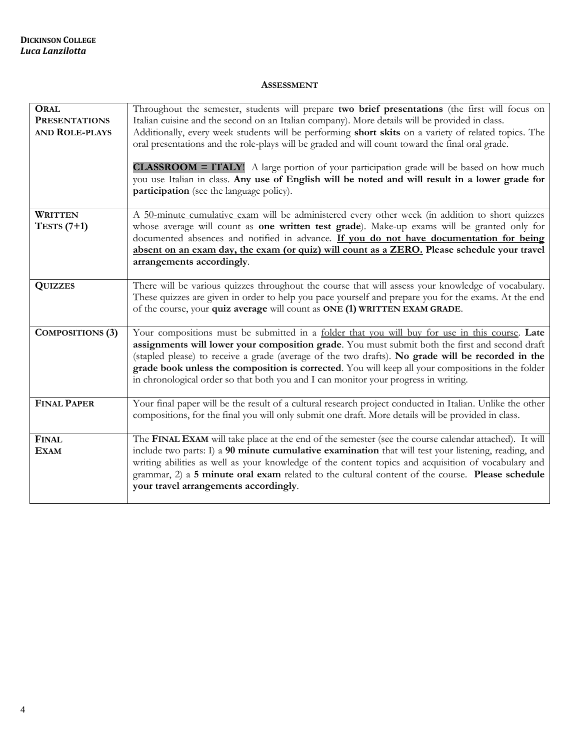#### **ASSESSMENT**

| <b>ORAL</b><br><b>PRESENTATIONS</b><br><b>AND ROLE-PLAYS</b> | Throughout the semester, students will prepare two brief presentations (the first will focus on<br>Italian cuisine and the second on an Italian company). More details will be provided in class.<br>Additionally, every week students will be performing short skits on a variety of related topics. The<br>oral presentations and the role-plays will be graded and will count toward the final oral grade.<br><b>CLASSROOM</b> = <b>ITALY</b> ! A large portion of your participation grade will be based on how much<br>you use Italian in class. Any use of English will be noted and will result in a lower grade for<br>participation (see the language policy). |
|--------------------------------------------------------------|-------------------------------------------------------------------------------------------------------------------------------------------------------------------------------------------------------------------------------------------------------------------------------------------------------------------------------------------------------------------------------------------------------------------------------------------------------------------------------------------------------------------------------------------------------------------------------------------------------------------------------------------------------------------------|
| <b>WRITTEN</b><br>TESTS $(7+1)$                              | A 50-minute cumulative exam will be administered every other week (in addition to short quizzes<br>whose average will count as <b>one written test grade</b> ). Make-up exams will be granted only for<br>documented absences and notified in advance. If you do not have documentation for being<br>absent on an exam day, the exam (or quiz) will count as a ZERO. Please schedule your travel<br>arrangements accordingly.                                                                                                                                                                                                                                           |
| <b>QUIZZES</b>                                               | There will be various quizzes throughout the course that will assess your knowledge of vocabulary.<br>These quizzes are given in order to help you pace yourself and prepare you for the exams. At the end<br>of the course, your quiz average will count as ONE (1) WRITTEN EXAM GRADE.                                                                                                                                                                                                                                                                                                                                                                                |
| <b>COMPOSITIONS (3)</b>                                      | Your compositions must be submitted in a folder that you will buy for use in this course. Late<br>assignments will lower your composition grade. You must submit both the first and second draft<br>(stapled please) to receive a grade (average of the two drafts). No grade will be recorded in the<br>grade book unless the composition is corrected. You will keep all your compositions in the folder<br>in chronological order so that both you and I can monitor your progress in writing.                                                                                                                                                                       |
| <b>FINAL PAPER</b>                                           | Your final paper will be the result of a cultural research project conducted in Italian. Unlike the other<br>compositions, for the final you will only submit one draft. More details will be provided in class.                                                                                                                                                                                                                                                                                                                                                                                                                                                        |
| <b>FINAL</b><br><b>EXAM</b>                                  | The FINAL EXAM will take place at the end of the semester (see the course calendar attached). It will<br>include two parts: I) a 90 minute cumulative examination that will test your listening, reading, and<br>writing abilities as well as your knowledge of the content topics and acquisition of vocabulary and<br>grammar, 2) a 5 minute oral exam related to the cultural content of the course. Please schedule<br>your travel arrangements accordingly.                                                                                                                                                                                                        |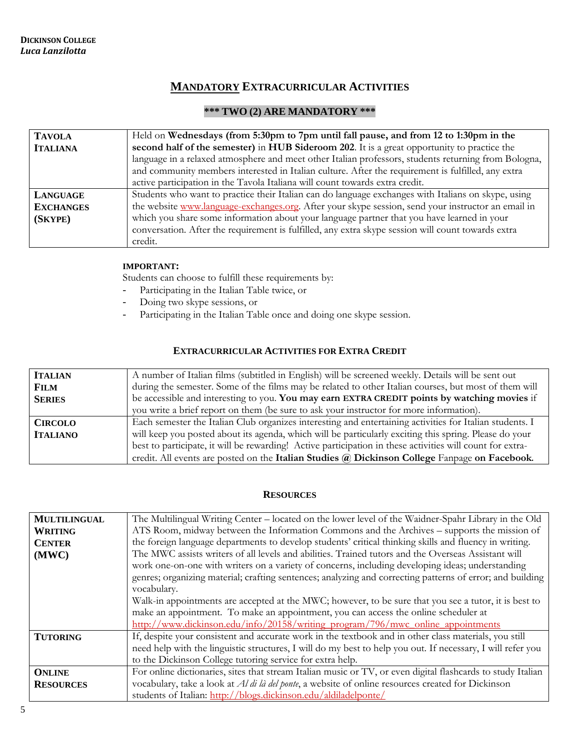#### **MANDATORY EXTRACURRICULAR ACTIVITIES**

#### **\*\*\* TWO (2) ARE MANDATORY \*\*\***

| <b>TAVOLA</b>    | Held on Wednesdays (from 5:30pm to 7pm until fall pause, and from 12 to 1:30pm in the                |  |  |
|------------------|------------------------------------------------------------------------------------------------------|--|--|
| <b>ITALIANA</b>  | second half of the semester) in HUB Sideroom 202. It is a great opportunity to practice the          |  |  |
|                  | language in a relaxed atmosphere and meet other Italian professors, students returning from Bologna, |  |  |
|                  | and community members interested in Italian culture. After the requirement is fulfilled, any extra   |  |  |
|                  | active participation in the Tavola Italiana will count towards extra credit.                         |  |  |
| LANGUAGE         | Students who want to practice their Italian can do language exchanges with Italians on skype, using  |  |  |
| <b>EXCHANGES</b> | the website www.language-exchanges.org. After your skype session, send your instructor an email in   |  |  |
| (SKYPE)          | which you share some information about your language partner that you have learned in your           |  |  |
|                  | conversation. After the requirement is fulfilled, any extra skype session will count towards extra   |  |  |
|                  | credit.                                                                                              |  |  |

#### **IMPORTANT:**

Students can choose to fulfill these requirements by:

- Participating in the Italian Table twice, or
- Doing two skype sessions, or
- Participating in the Italian Table once and doing one skype session.

#### **EXTRACURRICULAR ACTIVITIES FOR EXTRA CREDIT**

| <b>ITALIAN</b>  | A number of Italian films (subtitled in English) will be screened weekly. Details will be sent out        |
|-----------------|-----------------------------------------------------------------------------------------------------------|
| <b>FILM</b>     | during the semester. Some of the films may be related to other Italian courses, but most of them will     |
| <b>SERIES</b>   | be accessible and interesting to you. You may earn EXTRA CREDIT points by watching movies if              |
|                 | you write a brief report on them (be sure to ask your instructor for more information).                   |
| <b>CIRCOLO</b>  | Each semester the Italian Club organizes interesting and entertaining activities for Italian students. I  |
| <b>ITALIANO</b> | will keep you posted about its agenda, which will be particularly exciting this spring. Please do your    |
|                 | best to participate, it will be rewarding! Active participation in these activities will count for extra- |
|                 | credit. All events are posted on the Italian Studies @ Dickinson College Fanpage on Facebook.             |

#### **RESOURCES**

| <b>MULTILINGUAL</b> | The Multilingual Writing Center – located on the lower level of the Waidner-Spahr Library in the Old        |  |
|---------------------|-------------------------------------------------------------------------------------------------------------|--|
| <b>WRITING</b>      | ATS Room, midway between the Information Commons and the Archives – supports the mission of                 |  |
| <b>CENTER</b>       | the foreign language departments to develop students' critical thinking skills and fluency in writing.      |  |
| (MWC)               | The MWC assists writers of all levels and abilities. Trained tutors and the Overseas Assistant will         |  |
|                     | work one-on-one with writers on a variety of concerns, including developing ideas; understanding            |  |
|                     | genres; organizing material; crafting sentences; analyzing and correcting patterns of error; and building   |  |
|                     | vocabulary.                                                                                                 |  |
|                     | Walk-in appointments are accepted at the MWC; however, to be sure that you see a tutor, it is best to       |  |
|                     | make an appointment. To make an appointment, you can access the online scheduler at                         |  |
|                     | http://www.dickinson.edu/info/20158/writing program/796/mwc online appointments                             |  |
| <b>TUTORING</b>     | If, despite your consistent and accurate work in the textbook and in other class materials, you still       |  |
|                     | need help with the linguistic structures, I will do my best to help you out. If necessary, I will refer you |  |
|                     | to the Dickinson College tutoring service for extra help.                                                   |  |
| <b>ONLINE</b>       | For online dictionaries, sites that stream Italian music or TV, or even digital flashcards to study Italian |  |
| <b>RESOURCES</b>    | vocabulary, take a look at <i>Al di là del ponte</i> , a website of online resources created for Dickinson  |  |
|                     | students of Italian: http://blogs.dickinson.edu/aldiladelponte/                                             |  |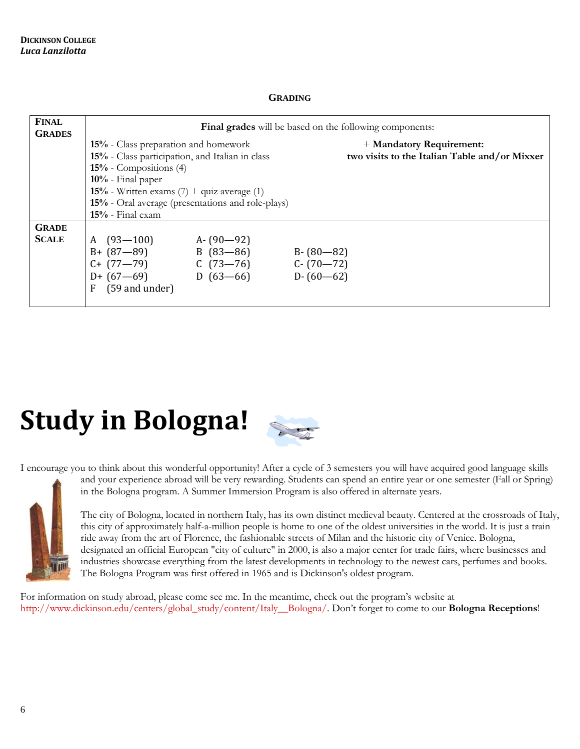#### **GRADING**

| <b>FINAL</b><br><b>GRADES</b> | <b>Final grades</b> will be based on the following components:                                                                                                                                                                                                            |                                                        |                                                                           |
|-------------------------------|---------------------------------------------------------------------------------------------------------------------------------------------------------------------------------------------------------------------------------------------------------------------------|--------------------------------------------------------|---------------------------------------------------------------------------|
|                               | 15% - Class preparation and homework<br>15% - Class participation, and Italian in class<br>$15%$ - Compositions $(4)$<br>$10%$ - Final paper<br>15% - Written exams $(7)$ + quiz average $(1)$<br>15% - Oral average (presentations and role-plays)<br>$15%$ - Final exam |                                                        | + Mandatory Requirement:<br>two visits to the Italian Table and/or Mixxer |
| <b>GRADE</b><br><b>SCALE</b>  | A $(93-100)$<br>$B + (87 - 89)$<br>$C+$ (77-79)<br>$D + (67 - 69)$<br>(59 and under)<br>F                                                                                                                                                                                 | A- $(90-92)$<br>$B(83-86)$<br>$C(73-76)$<br>$D(63-66)$ | $B - (80 - 82)$<br>$C - (70 - 72)$<br>$D - (60 - 62)$                     |

# **Study in Bologna!**



I encourage you to think about this wonderful opportunity! After a cycle of 3 semesters you will have acquired good language skills

and your experience abroad will be very rewarding. Students can spend an entire year or one semester (Fall or Spring) in the Bologna program. A Summer Immersion Program is also offered in alternate years.

The city of Bologna, located in northern Italy, has its own distinct medieval beauty. Centered at the crossroads of Italy, this city of approximately half-a-million people is home to one of the oldest universities in the world. It is just a train ride away from the art of Florence, the fashionable streets of Milan and the historic city of Venice. Bologna, designated an official European "city of culture" in 2000, is also a major center for trade fairs, where businesses and industries showcase everything from the latest developments in technology to the newest cars, perfumes and books. The [Bologna Program](http://www.dickinson.edu/academics/global-campus/content/Dickinson-in-Italy/) was first offered in 1965 and is Dickinson's oldest program.

For information on study abroad, please come see me. In the meantime, check out the program's website at [http://www.dickinson.edu/centers/global\\_study/content/Italy\\_\\_Bologna/](http://www.dickinson.edu/centers/global_study/content/Italy__Bologna/). Don't forget to come to our **Bologna Receptions**!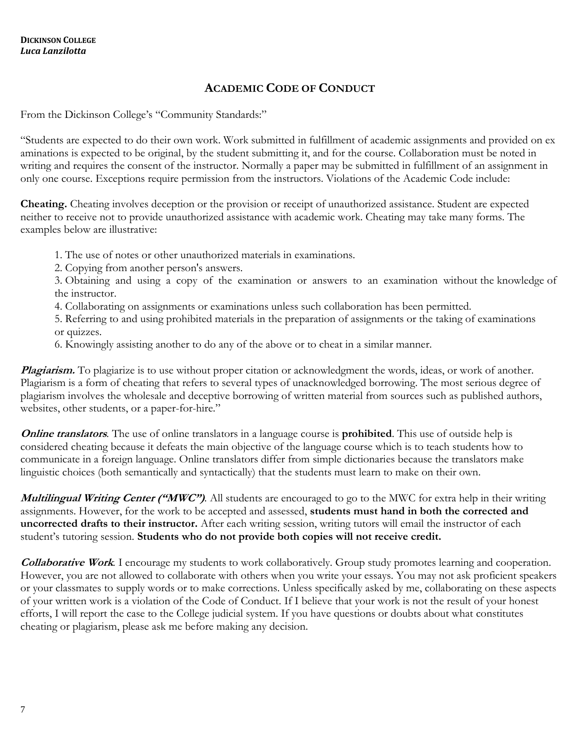### **ACADEMIC CODE OF CONDUCT**

From the Dickinson College's "Community Standards:"

"Students are expected to do their own work. Work submitted in fulfillment of academic assignments and provided on ex aminations is expected to be original, by the student submitting it, and for the course. Collaboration must be noted in writing and requires the consent of the instructor. Normally a paper may be submitted in fulfillment of an assignment in only one course. Exceptions require permission from the instructors. Violations of the Academic Code include:

**Cheating.** Cheating involves deception or the provision or receipt of unauthorized assistance. Student are expected neither to receive not to provide unauthorized assistance with academic work. Cheating may take many forms. The examples below are illustrative:

1. The use of notes or other unauthorized materials in examinations.

2. Copying from another person's answers.

3. Obtaining and using a copy of the examination or answers to an examination without the knowledge of the instructor.

4. Collaborating on assignments or examinations unless such collaboration has been permitted.

5. Referring to and using prohibited materials in the preparation of assignments or the taking of examinations or quizzes.

6. Knowingly assisting another to do any of the above or to cheat in a similar manner.

**Plagiarism.** To plagiarize is to use without proper citation or acknowledgment the words, ideas, or work of another. Plagiarism is a form of cheating that refers to several types of unacknowledged borrowing. The most serious degree of plagiarism involves the wholesale and deceptive borrowing of written material from sources such as published authors, websites, other students, or a paper-for-hire."

**Online translators***.* The use of online translators in a language course is **prohibited**. This use of outside help is considered cheating because it defeats the main objective of the language course which is to teach students how to communicate in a foreign language. Online translators differ from simple dictionaries because the translators make linguistic choices (both semantically and syntactically) that the students must learn to make on their own.

**Multilingual Writing Center ("MWC")***.* All students are encouraged to go to the MWC for extra help in their writing assignments. However, for the work to be accepted and assessed, **students must hand in both the corrected and uncorrected drafts to their instructor.** After each writing session, writing tutors will email the instructor of each student's tutoring session. **Students who do not provide both copies will not receive credit.**

**Collaborative Work***.* I encourage my students to work collaboratively. Group study promotes learning and cooperation. However, you are not allowed to collaborate with others when you write your essays. You may not ask proficient speakers or your classmates to supply words or to make corrections. Unless specifically asked by me, collaborating on these aspects of your written work is a violation of the Code of Conduct. If I believe that your work is not the result of your honest efforts, I will report the case to the College judicial system. If you have questions or doubts about what constitutes cheating or plagiarism, please ask me before making any decision.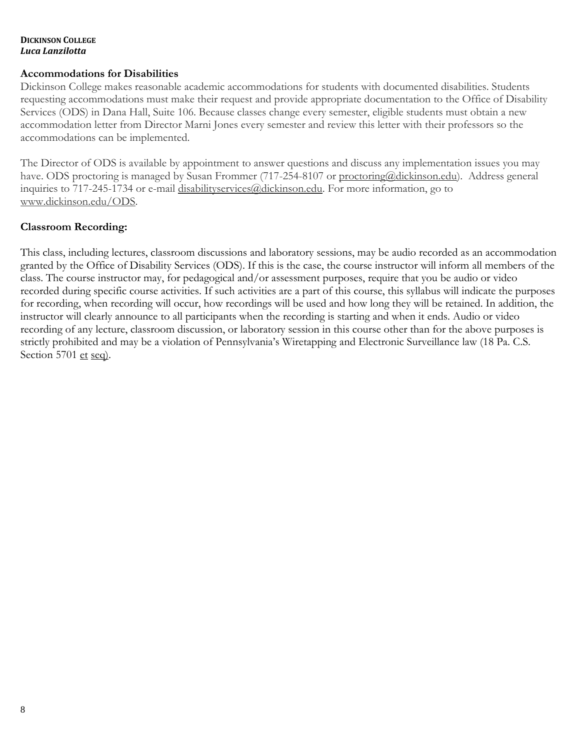#### **DICKINSON COLLEGE** *Luca Lanzilotta*

#### **Accommodations for Disabilities**

Dickinson College makes reasonable academic accommodations for students with documented disabilities. Students requesting accommodations must make their request and provide appropriate documentation to the Office of Disability Services (ODS) in Dana Hall, Suite 106. Because classes change every semester, eligible students must obtain a new accommodation letter from Director Marni Jones every semester and review this letter with their professors so the accommodations can be implemented.

The Director of ODS is available by appointment to answer questions and discuss any implementation issues you may have. ODS proctoring is managed by Susan Frommer (717-254-8107 or [proctoring@dickinson.edu\)](https://exmail.dickinson.edu/owa/redir.aspx?C=vKkw_RrDXa7e9QU1-pVbtvoxPXpBMRoPCSSAU52cW08QvITDJazTCA..&URL=mailto%3aproctoring%40dickinson.edu). Address general inquiries to 717-245-1734 or e-mail [disabilityservices@dickinson.edu.](https://exmail.dickinson.edu/owa/redir.aspx?C=lsUrwgJIjyJQ32OlOogAjHqrNMOJ2Evebp5-6A0rzq4QvITDJazTCA..&URL=mailto%3adisabilityservices%40dickinson.edu) For more information, go to [www.dickinson.edu/ODS.](https://exmail.dickinson.edu/owa/redir.aspx?C=5vmMP0mNKzKjqGV7vZRAtJ9avCk-NilZYbHWBU3D6VMQvITDJazTCA..&URL=http%3a%2f%2fwww.dickinson.edu%2fODS)

#### **Classroom Recording:**

This class, including lectures, classroom discussions and laboratory sessions, may be audio recorded as an accommodation granted by the Office of Disability Services (ODS). If this is the case, the course instructor will inform all members of the class. The course instructor may, for pedagogical and/or assessment purposes, require that you be audio or video recorded during specific course activities. If such activities are a part of this course, this syllabus will indicate the purposes for recording, when recording will occur, how recordings will be used and how long they will be retained. In addition, the instructor will clearly announce to all participants when the recording is starting and when it ends. Audio or video recording of any lecture, classroom discussion, or laboratory session in this course other than for the above purposes is strictly prohibited and may be a violation of Pennsylvania's Wiretapping and Electronic Surveillance law (18 Pa. C.S. Section 5701 et seq).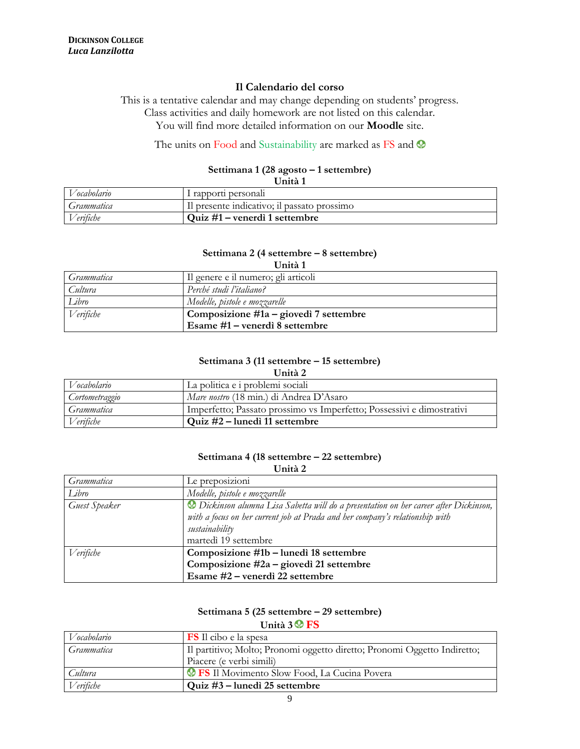#### **Il Calendario del corso**

This is a tentative calendar and may change depending on students' progress. Class activities and daily homework are not listed on this calendar. You will find more detailed information on our **Moodle** site.

#### The units on Food and Sustainability are marked as FS and  $\otimes$

#### **Settimana 1 (28 agosto – 1 settembre) Unità 1**

| UIHLA I     |                                             |  |
|-------------|---------------------------------------------|--|
| Vocabolario | l rapporti personali                        |  |
| Grammatica  | Il presente indicativo; il passato prossimo |  |
| Verifiche   | $\sqrt{Q}$ uiz #1 – venerdì 1 settembre     |  |

#### **Settimana 2 (4 settembre – 8 settembre)**

| Unità 1    |                                        |  |
|------------|----------------------------------------|--|
| Grammatica | Il genere e il numero; gli articoli    |  |
| Cultura    | Perché studi l'italiano?               |  |
| Libro      | Modelle, pistole e mozzarelle          |  |
| Verifiche  | Composizione #1a – giovedì 7 settembre |  |
|            | Esame #1 – venerdì 8 settembre         |  |

#### **Settimana 3 (11 settembre – 15 settembre)**

| nн |  |
|----|--|
|----|--|

| Vocabolario    | La politica e i problemi sociali                                      |  |
|----------------|-----------------------------------------------------------------------|--|
| Cortometraggio | Mare nostro (18 min.) di Andrea D'Asaro                               |  |
| Grammatica     | Imperfetto; Passato prossimo vs Imperfetto; Possessivi e dimostrativi |  |
| Verifiche      | Quiz $#2$ – lunedì 11 settembre                                       |  |

#### **Settimana 4 (18 settembre – 22 settembre)**

**Unità 2** 

| Grammatica    | Le preposizioni                                                                     |
|---------------|-------------------------------------------------------------------------------------|
| Libro         | Modelle, pistole e mozzarelle                                                       |
| Guest Speaker | Dickinson alumna Lisa Sabetta will do a presentation on her career after Dickinson, |
|               | with a focus on her current job at Prada and her company's relationship with        |
|               | sustainability                                                                      |
|               | martedì 19 settembre                                                                |
| Verifiche     | Composizione #1b – lunedì 18 settembre                                              |
|               | Composizione #2a – giovedì 21 settembre                                             |
|               | Esame #2 - venerdì 22 settembre                                                     |

#### **Settimana 5 (25 settembre – 29 settembre)**

**Unità 3 FS**

| Vocabolario | <b>FS</b> Il cibo e la spesa                                             |
|-------------|--------------------------------------------------------------------------|
| Grammatica  | Il partitivo; Molto; Pronomi oggetto diretto; Pronomi Oggetto Indiretto; |
|             | Piacere (e verbi simili)                                                 |
| Cultura     | <b>See FS</b> Il Movimento Slow Food, La Cucina Povera                   |
| Verifiche   | Quiz #3 – lunedì 25 settembre                                            |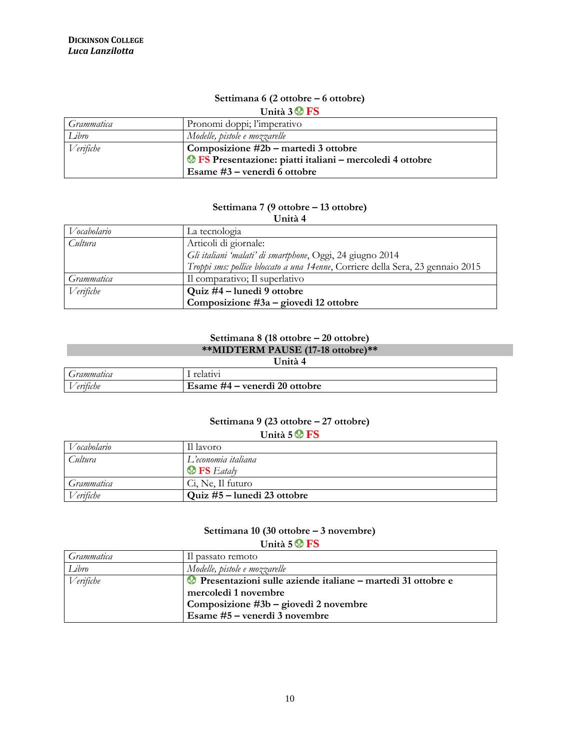## **Settimana 6 (2 ottobre – 6 ottobre)**

**Unità 3 FS**

| Grammatica | Pronomi doppi; l'imperativo                                     |
|------------|-----------------------------------------------------------------|
| Libro      | Modelle, pistole e mozzarelle                                   |
| Verifiche  | Composizione #2b – martedì 3 ottobre                            |
|            | <b>OFS</b> Presentazione: piatti italiani – mercoledì 4 ottobre |
|            | Esame #3 – venerdì 6 ottobre                                    |

#### **Settimana 7 (9 ottobre – 13 ottobre)**

| ×<br>٠<br>۰.<br>٠ |  |
|-------------------|--|
|-------------------|--|

| Vocabolario | La tecnologia                                                                   |
|-------------|---------------------------------------------------------------------------------|
| Cultura     | Articoli di giornale:                                                           |
|             | Gli italiani 'malati' di smartphone, Oggi, 24 giugno 2014                       |
|             | Troppi sms: pollice bloccato a una 14enne, Corriere della Sera, 23 gennaio 2015 |
| Grammatica  | Il comparativo; Il superlativo                                                  |
| Verifiche   | Quiz #4 – lunedì 9 ottobre                                                      |
|             | Composizione $#3a$ – giovedì 12 ottobre                                         |

## **Settimana 8 (18 ottobre – 20 ottobre)**

| **MIDTERM PAUSE (17-18 ottobre)** |  |
|-----------------------------------|--|

| × |  |
|---|--|
|   |  |
|   |  |

| Grammatica                                    |                                                  |
|-----------------------------------------------|--------------------------------------------------|
| $\vdash$<br>$\sim$ $\sim$ $\sim$<br>'eritiche | 20 ottobre<br>venerdi<br>ĦД<br><b>Esame</b><br>_ |

#### **Settimana 9 (23 ottobre – 27 ottobre) Unità 5 FS**

| $\mathbf{v}$ and $\mathbf{v}$ and $\mathbf{v}$ |                                |
|------------------------------------------------|--------------------------------|
| Vocabolario                                    | Il lavoro                      |
| Cultura                                        | L'economia italiana            |
|                                                | $\circledast$ <b>FS</b> Eataly |
| Grammatica                                     | Ci, Ne, Il futuro              |
| Verifiche                                      | Quiz #5 – lunedì 23 ottobre    |

#### **Settimana 10 (30 ottobre – 3 novembre)**

**Unità 5 FS**

| Grammatica | Il passato remoto                                                  |
|------------|--------------------------------------------------------------------|
| Libro      | Modelle, pistole e mozzarelle                                      |
| Verifiche  | <b>Presentazioni sulle aziende italiane – martedì 31 ottobre e</b> |
|            | mercoledì 1 novembre                                               |
|            | Composizione #3b - giovedì 2 novembre                              |
|            | Esame #5 – venerdì 3 novembre                                      |